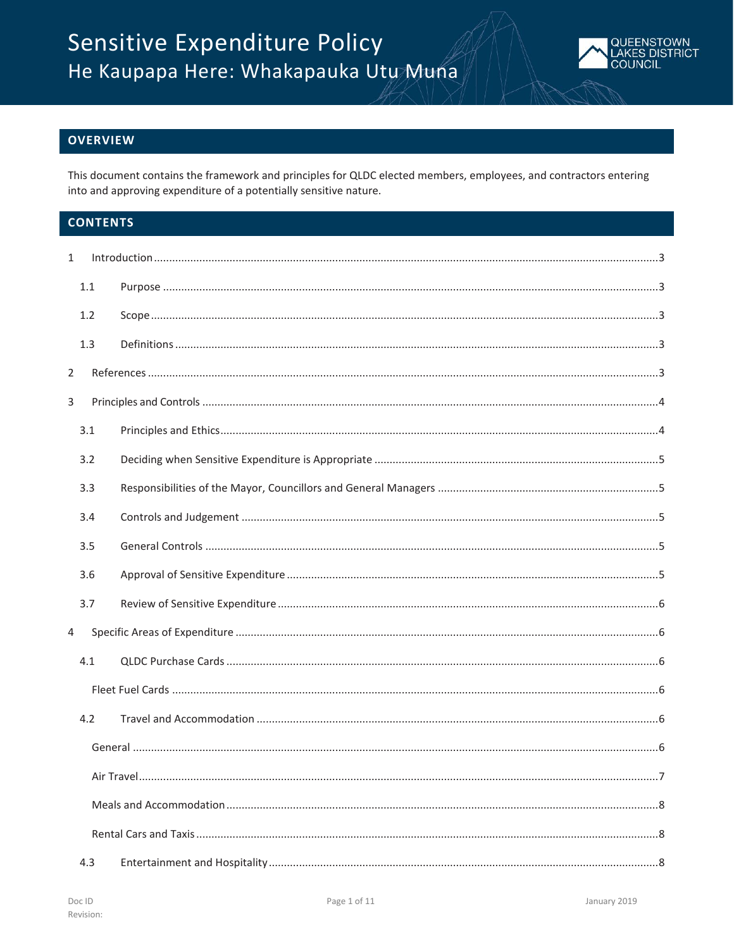

# **OVERVIEW**

This document contains the framework and principles for QLDC elected members, employees, and contractors entering into and approving expenditure of a potentially sensitive nature.

# **CONTENTS**

| $\mathbf{1}$   |     |  |  |
|----------------|-----|--|--|
|                | 1.1 |  |  |
|                | 1.2 |  |  |
|                | 1.3 |  |  |
| $\overline{2}$ |     |  |  |
| 3              |     |  |  |
|                | 3.1 |  |  |
|                | 3.2 |  |  |
|                | 3.3 |  |  |
|                | 3.4 |  |  |
|                | 3.5 |  |  |
|                | 3.6 |  |  |
|                | 3.7 |  |  |
| $\overline{4}$ |     |  |  |
|                | 4.1 |  |  |
|                |     |  |  |
|                | 4.2 |  |  |
|                |     |  |  |
|                |     |  |  |
|                |     |  |  |
|                |     |  |  |
|                | 4.3 |  |  |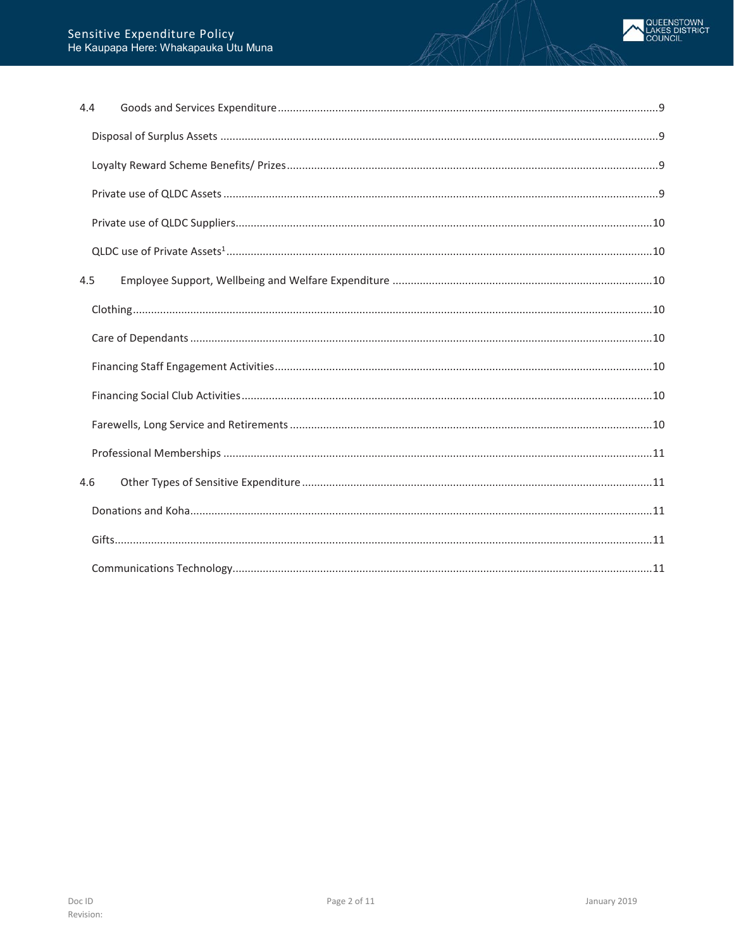| 4.4 |  |
|-----|--|
|     |  |
|     |  |
|     |  |
|     |  |
|     |  |
| 4.5 |  |
|     |  |
|     |  |
|     |  |
|     |  |
|     |  |
|     |  |
| 4.6 |  |
|     |  |
|     |  |
|     |  |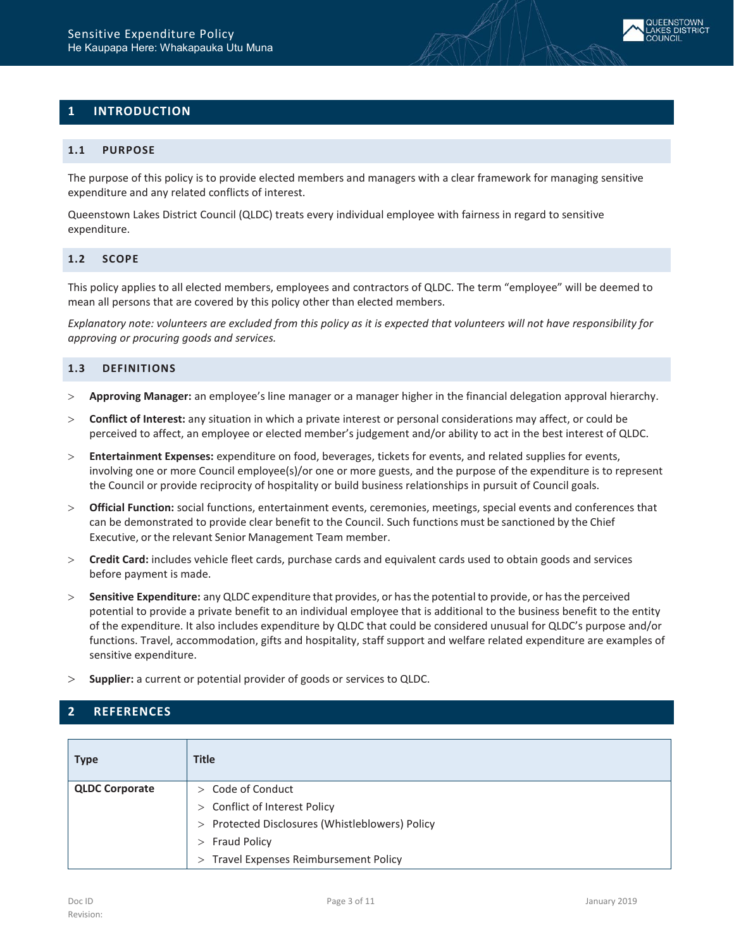<span id="page-2-0"></span>

## <span id="page-2-1"></span>**1.1 PURPOSE**

The purpose of this policy is to provide elected members and managers with a clear framework for managing sensitive expenditure and any related conflicts of interest.

Queenstown Lakes District Council (QLDC) treats every individual employee with fairness in regard to sensitive expenditure.

#### <span id="page-2-2"></span>**1.2 SCOPE**

This policy applies to all elected members, employees and contractors of QLDC. The term "employee" will be deemed to mean all persons that are covered by this policy other than elected members.

*Explanatory note: volunteers are excluded from this policy as it is expected that volunteers will not have responsibility for approving or procuring goods and services.*

# <span id="page-2-3"></span>**1.3 DEFINITIONS**

- > **Approving Manager:** an employee's line manager or a manager higher in the financial delegation approval hierarchy.
- > **Conflict of Interest:** any situation in which a private interest or personal considerations may affect, or could be perceived to affect, an employee or elected member's judgement and/or ability to act in the best interest of QLDC.
- > **Entertainment Expenses:** expenditure on food, beverages, tickets for events, and related supplies for events, involving one or more Council employee(s)/or one or more guests, and the purpose of the expenditure is to represent the Council or provide reciprocity of hospitality or build business relationships in pursuit of Council goals.
- > **Official Function:** social functions, entertainment events, ceremonies, meetings, special events and conferences that can be demonstrated to provide clear benefit to the Council. Such functions must be sanctioned by the Chief Executive, or the relevant Senior Management Team member.
- > **Credit Card:** includes vehicle fleet cards, purchase cards and equivalent cards used to obtain goods and services before payment is made.
- > **Sensitive Expenditure:** any QLDC expenditure that provides, or hasthe potential to provide, or hasthe perceived potential to provide a private benefit to an individual employee that is additional to the business benefit to the entity of the expenditure. It also includes expenditure by QLDC that could be considered unusual for QLDC's purpose and/or functions. Travel, accommodation, gifts and hospitality, staff support and welfare related expenditure are examples of sensitive expenditure.
- > **Supplier:** a current or potential provider of goods or services to QLDC.

# <span id="page-2-4"></span>**2 REFERENCES**

| <b>Type</b>           | <b>Title</b>                                    |
|-----------------------|-------------------------------------------------|
| <b>QLDC Corporate</b> | $>$ Code of Conduct                             |
|                       | > Conflict of Interest Policy                   |
|                       | > Protected Disclosures (Whistleblowers) Policy |
|                       | $>$ Fraud Policy                                |
|                       | > Travel Expenses Reimbursement Policy          |

**QUEENSTOWN AKES DISTRICT**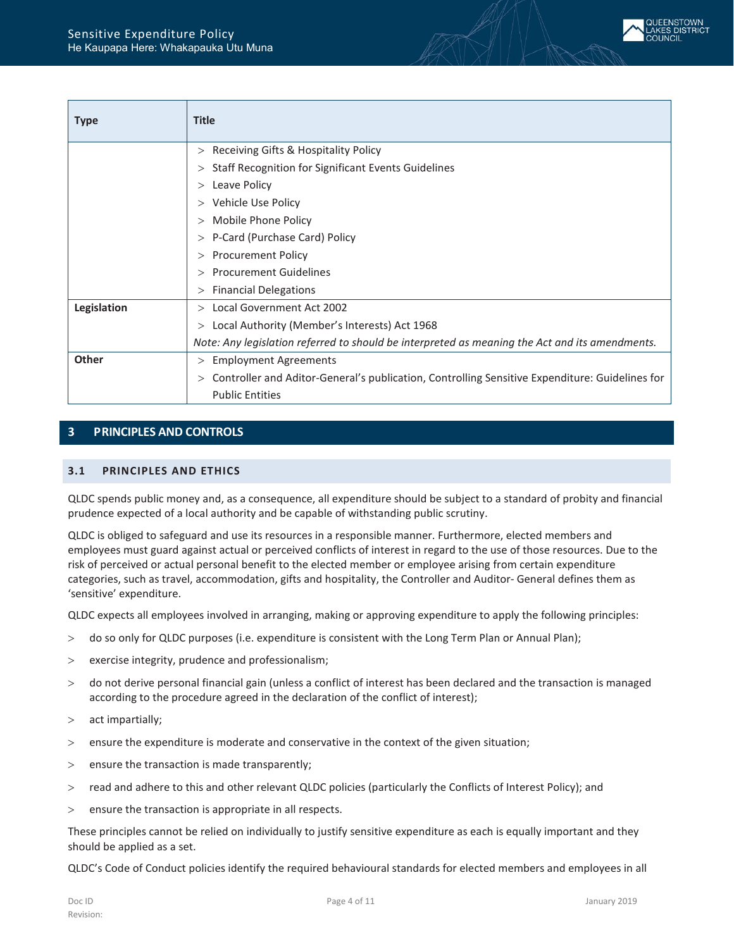

| <b>Type</b>  | <b>Title</b>                                                                                        |
|--------------|-----------------------------------------------------------------------------------------------------|
|              | > Receiving Gifts & Hospitality Policy                                                              |
|              | > Staff Recognition for Significant Events Guidelines                                               |
|              | $>$ Leave Policy                                                                                    |
|              | > Vehicle Use Policy                                                                                |
|              | > Mobile Phone Policy                                                                               |
|              | > P-Card (Purchase Card) Policy                                                                     |
|              | > Procurement Policy                                                                                |
|              | > Procurement Guidelines                                                                            |
|              | <b>Financial Delegations</b><br>>                                                                   |
| Legislation  | > Local Government Act 2002                                                                         |
|              | > Local Authority (Member's Interests) Act 1968                                                     |
|              | Note: Any legislation referred to should be interpreted as meaning the Act and its amendments.      |
| <b>Other</b> | $>$ Employment Agreements                                                                           |
|              | Controller and Aditor-General's publication, Controlling Sensitive Expenditure: Guidelines for<br>> |
|              | <b>Public Entities</b>                                                                              |

# <span id="page-3-0"></span>**3 PRINCIPLES AND CONTROLS**

# <span id="page-3-1"></span>**3.1 PRINCIPLES AND ETHICS**

QLDC spends public money and, as a consequence, all expenditure should be subject to a standard of probity and financial prudence expected of a local authority and be capable of withstanding public scrutiny.

QLDC is obliged to safeguard and use its resources in a responsible manner. Furthermore, elected members and employees must guard against actual or perceived conflicts of interest in regard to the use of those resources. Due to the risk of perceived or actual personal benefit to the elected member or employee arising from certain expenditure categories, such as travel, accommodation, gifts and hospitality, the Controller and Auditor- General defines them as 'sensitive' expenditure.

QLDC expects all employees involved in arranging, making or approving expenditure to apply the following principles:

- > do so only for QLDC purposes (i.e. expenditure is consistent with the Long Term Plan or Annual Plan);
- > exercise integrity, prudence and professionalism;
- > do not derive personal financial gain (unless a conflict of interest has been declared and the transaction is managed according to the procedure agreed in the declaration of the conflict of interest);
- > act impartially;
- > ensure the expenditure is moderate and conservative in the context of the given situation;
- > ensure the transaction is made transparently;
- > read and adhere to this and other relevant QLDC policies (particularly the Conflicts of Interest Policy); and
- > ensure the transaction is appropriate in all respects.

These principles cannot be relied on individually to justify sensitive expenditure as each is equally important and they should be applied as a set.

QLDC's Code of Conduct policies identify the required behavioural standards for elected members and employees in all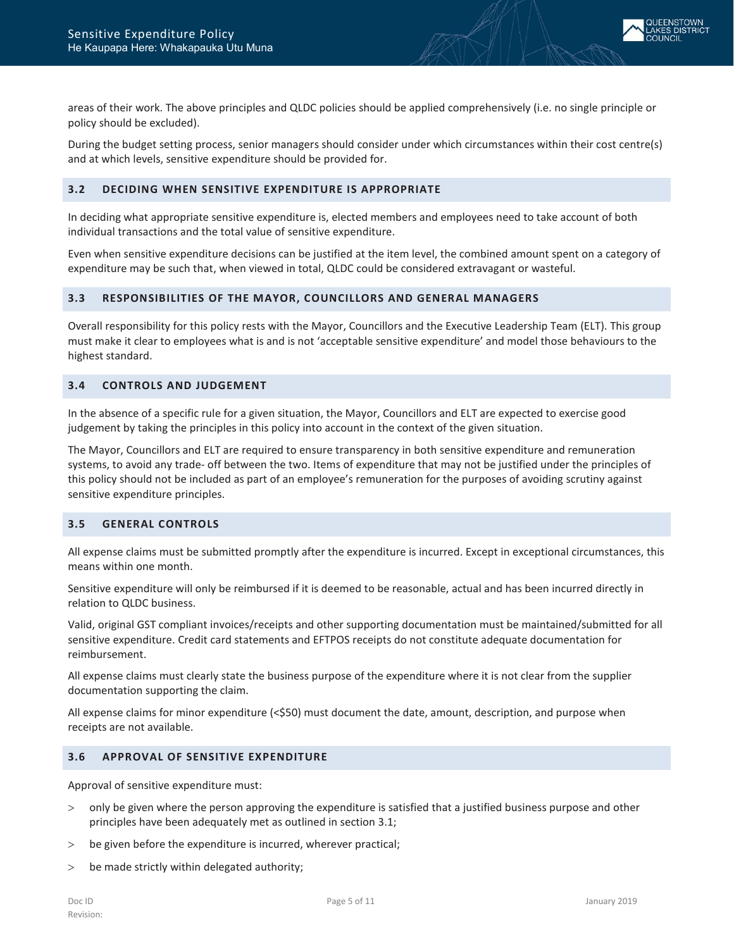areas of their work. The above principles and QLDC policies should be applied comprehensively (i.e. no single principle or policy should be excluded).

During the budget setting process, senior managers should consider under which circumstances within their cost centre(s) and at which levels, sensitive expenditure should be provided for.

# <span id="page-4-0"></span>**3.2 DECIDING WHEN SENSITIVE EXPENDITURE IS APPROPRIATE**

In deciding what appropriate sensitive expenditure is, elected members and employees need to take account of both individual transactions and the total value of sensitive expenditure.

Even when sensitive expenditure decisions can be justified at the item level, the combined amount spent on a category of expenditure may be such that, when viewed in total, QLDC could be considered extravagant or wasteful.

# <span id="page-4-1"></span>**3.3 RESPONSIBILITIES OF THE MAYOR, COUNCILLORS AND GENERAL MANAGERS**

Overall responsibility for this policy rests with the Mayor, Councillors and the Executive Leadership Team (ELT). This group must make it clear to employees what is and is not 'acceptable sensitive expenditure' and model those behaviours to the highest standard.

# <span id="page-4-2"></span>**3.4 CONTROLS AND JUDGEMENT**

In the absence of a specific rule for a given situation, the Mayor, Councillors and ELT are expected to exercise good judgement by taking the principles in this policy into account in the context of the given situation.

The Mayor, Councillors and ELT are required to ensure transparency in both sensitive expenditure and remuneration systems, to avoid any trade- off between the two. Items of expenditure that may not be justified under the principles of this policy should not be included as part of an employee's remuneration for the purposes of avoiding scrutiny against sensitive expenditure principles.

## <span id="page-4-3"></span>**3.5 GENERAL CONTROLS**

All expense claims must be submitted promptly after the expenditure is incurred. Except in exceptional circumstances, this means within one month.

Sensitive expenditure will only be reimbursed if it is deemed to be reasonable, actual and has been incurred directly in relation to QLDC business.

Valid, original GST compliant invoices/receipts and other supporting documentation must be maintained/submitted for all sensitive expenditure. Credit card statements and EFTPOS receipts do not constitute adequate documentation for reimbursement.

All expense claims must clearly state the business purpose of the expenditure where it is not clear from the supplier documentation supporting the claim.

All expense claims for minor expenditure (<\$50) must document the date, amount, description, and purpose when receipts are not available.

## <span id="page-4-4"></span>**3.6 APPROVAL OF SENSITIVE EXPENDITURE**

Approval of sensitive expenditure must:

- > only be given where the person approving the expenditure is satisfied that a justified business purpose and other principles have been adequately met as outlined in section 3.1;
- > be given before the expenditure is incurred, wherever practical;
- $>$  be made strictly within delegated authority;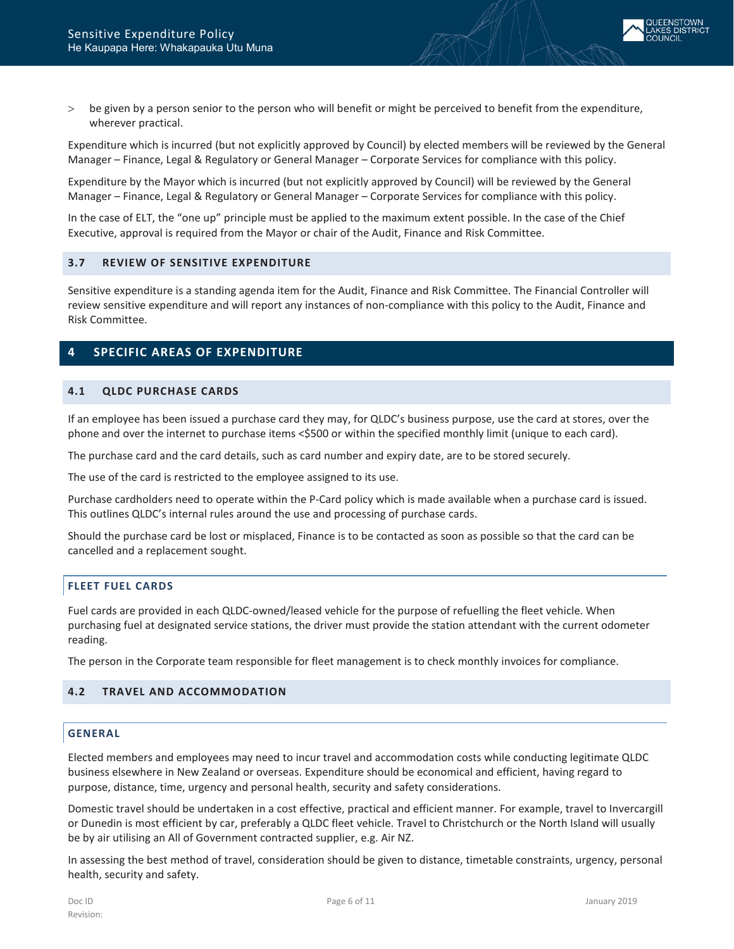

> be given by a person senior to the person who will benefit or might be perceived to benefit from the expenditure, wherever practical.

Expenditure which is incurred (but not explicitly approved by Council) by elected members will be reviewed by the General Manager – Finance, Legal & Regulatory or General Manager – Corporate Services for compliance with this policy.

Expenditure by the Mayor which is incurred (but not explicitly approved by Council) will be reviewed by the General Manager – Finance, Legal & Regulatory or General Manager – Corporate Services for compliance with this policy.

In the case of ELT, the "one up" principle must be applied to the maximum extent possible. In the case of the Chief Executive, approval is required from the Mayor or chair of the Audit, Finance and Risk Committee.

## <span id="page-5-0"></span>**3.7 REVIEW OF SENSITIVE EXPENDITURE**

Sensitive expenditure is a standing agenda item for the Audit, Finance and Risk Committee. The Financial Controller will review sensitive expenditure and will report any instances of non-compliance with this policy to the Audit, Finance and Risk Committee.

# <span id="page-5-1"></span>**4 SPECIFIC AREAS OF EXPENDITURE**

#### <span id="page-5-2"></span>**4.1 QLDC PURCHASE CARDS**

If an employee has been issued a purchase card they may, for QLDC's business purpose, use the card at stores, over the phone and over the internet to purchase items <\$500 or within the specified monthly limit (unique to each card).

The purchase card and the card details, such as card number and expiry date, are to be stored securely.

The use of the card is restricted to the employee assigned to its use.

Purchase cardholders need to operate within the P-Card policy which is made available when a purchase card is issued. This outlines QLDC's internal rules around the use and processing of purchase cards.

Should the purchase card be lost or misplaced, Finance is to be contacted as soon as possible so that the card can be cancelled and a replacement sought.

# <span id="page-5-3"></span>**FLEET FUEL CARDS**

Fuel cards are provided in each QLDC-owned/leased vehicle for the purpose of refuelling the fleet vehicle. When purchasing fuel at designated service stations, the driver must provide the station attendant with the current odometer reading.

<span id="page-5-4"></span>The person in the Corporate team responsible for fleet management is to check monthly invoices for compliance.

# <span id="page-5-5"></span>**4.2 TRAVEL AND ACCOMMODATION**

## **GENERAL**

Elected members and employees may need to incur travel and accommodation costs while conducting legitimate QLDC business elsewhere in New Zealand or overseas. Expenditure should be economical and efficient, having regard to purpose, distance, time, urgency and personal health, security and safety considerations.

Domestic travel should be undertaken in a cost effective, practical and efficient manner. For example, travel to Invercargill or Dunedin is most efficient by car, preferably a QLDC fleet vehicle. Travel to Christchurch or the North Island will usually be by air utilising an All of Government contracted supplier, e.g. Air NZ.

In assessing the best method of travel, consideration should be given to distance, timetable constraints, urgency, personal health, security and safety.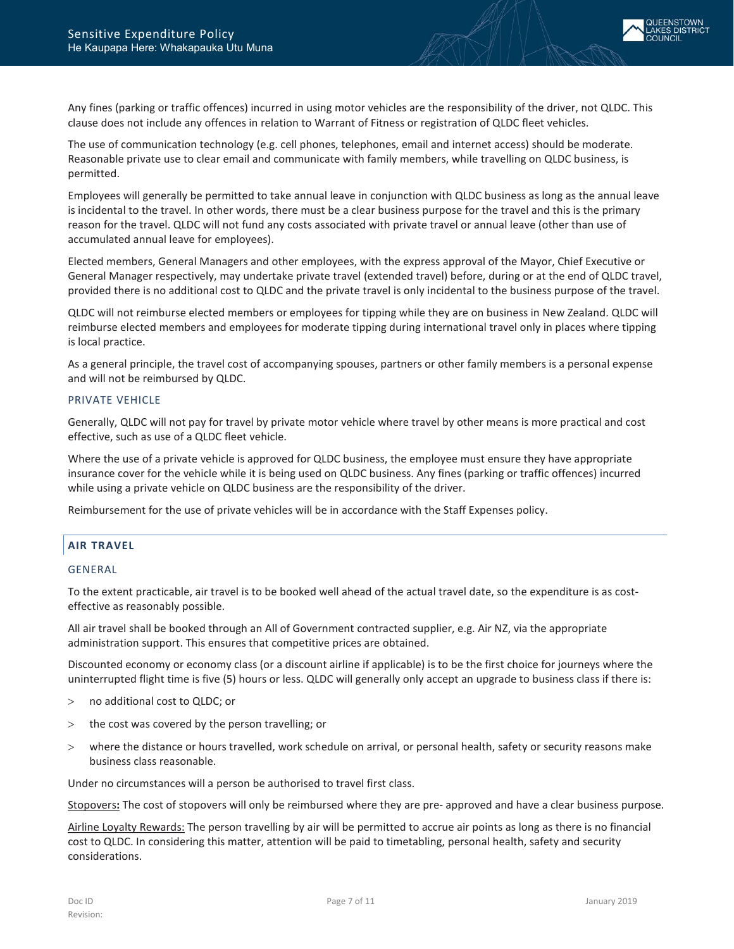

Any fines (parking or traffic offences) incurred in using motor vehicles are the responsibility of the driver, not QLDC. This clause does not include any offences in relation to Warrant of Fitness or registration of QLDC fleet vehicles.

The use of communication technology (e.g. cell phones, telephones, email and internet access) should be moderate. Reasonable private use to clear email and communicate with family members, while travelling on QLDC business, is permitted.

Employees will generally be permitted to take annual leave in conjunction with QLDC business as long as the annual leave is incidental to the travel. In other words, there must be a clear business purpose for the travel and this is the primary reason for the travel. QLDC will not fund any costs associated with private travel or annual leave (other than use of accumulated annual leave for employees).

Elected members, General Managers and other employees, with the express approval of the Mayor, Chief Executive or General Manager respectively, may undertake private travel (extended travel) before, during or at the end of QLDC travel, provided there is no additional cost to QLDC and the private travel is only incidental to the business purpose of the travel.

QLDC will not reimburse elected members or employees for tipping while they are on business in New Zealand. QLDC will reimburse elected members and employees for moderate tipping during international travel only in places where tipping is local practice.

As a general principle, the travel cost of accompanying spouses, partners or other family members is a personal expense and will not be reimbursed by QLDC.

## PRIVATE VEHICLE

Generally, QLDC will not pay for travel by private motor vehicle where travel by other means is more practical and cost effective, such as use of a QLDC fleet vehicle.

Where the use of a private vehicle is approved for QLDC business, the employee must ensure they have appropriate insurance cover for the vehicle while it is being used on QLDC business. Any fines (parking or traffic offences) incurred while using a private vehicle on QLDC business are the responsibility of the driver.

<span id="page-6-0"></span>Reimbursement for the use of private vehicles will be in accordance with the Staff Expenses policy.

# **AIR TRAVEL**

## GENERAL

To the extent practicable, air travel is to be booked well ahead of the actual travel date, so the expenditure is as costeffective as reasonably possible.

All air travel shall be booked through an All of Government contracted supplier, e.g. Air NZ, via the appropriate administration support. This ensures that competitive prices are obtained.

Discounted economy or economy class (or a discount airline if applicable) is to be the first choice for journeys where the uninterrupted flight time is five (5) hours or less. QLDC will generally only accept an upgrade to business class if there is:

- > no additional cost to QLDC; or
- > the cost was covered by the person travelling; or
- > where the distance or hours travelled, work schedule on arrival, or personal health, safety or security reasons make business class reasonable.

Under no circumstances will a person be authorised to travel first class.

Stopovers**:** The cost of stopovers will only be reimbursed where they are pre- approved and have a clear business purpose.

Airline Loyalty Rewards: The person travelling by air will be permitted to accrue air points as long as there is no financial cost to QLDC. In considering this matter, attention will be paid to timetabling, personal health, safety and security considerations.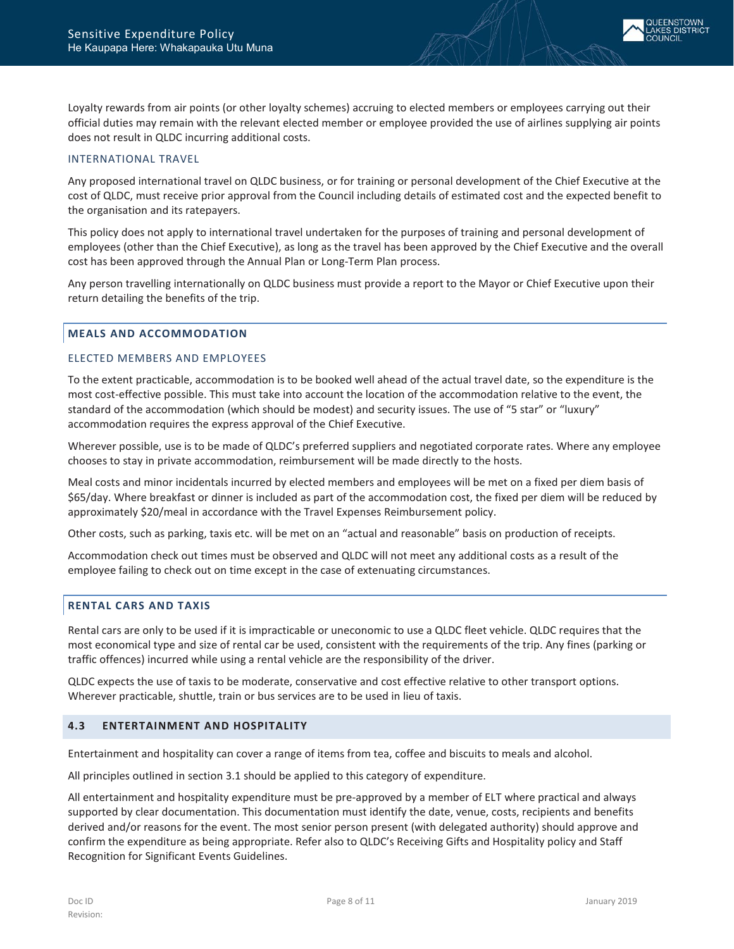

Loyalty rewards from air points (or other loyalty schemes) accruing to elected members or employees carrying out their official duties may remain with the relevant elected member or employee provided the use of airlines supplying air points does not result in QLDC incurring additional costs.

### INTERNATIONAL TRAVEL

Any proposed international travel on QLDC business, or for training or personal development of the Chief Executive at the cost of QLDC, must receive prior approval from the Council including details of estimated cost and the expected benefit to the organisation and its ratepayers.

This policy does not apply to international travel undertaken for the purposes of training and personal development of employees (other than the Chief Executive), as long as the travel has been approved by the Chief Executive and the overall cost has been approved through the Annual Plan or Long-Term Plan process.

Any person travelling internationally on QLDC business must provide a report to the Mayor or Chief Executive upon their return detailing the benefits of the trip.

#### <span id="page-7-0"></span>**MEALS AND ACCOMMODATION**

## ELECTED MEMBERS AND EMPLOYEES

To the extent practicable, accommodation is to be booked well ahead of the actual travel date, so the expenditure is the most cost-effective possible. This must take into account the location of the accommodation relative to the event, the standard of the accommodation (which should be modest) and security issues. The use of "5 star" or "luxury" accommodation requires the express approval of the Chief Executive.

Wherever possible, use is to be made of QLDC's preferred suppliers and negotiated corporate rates. Where any employee chooses to stay in private accommodation, reimbursement will be made directly to the hosts.

Meal costs and minor incidentals incurred by elected members and employees will be met on a fixed per diem basis of \$65/day. Where breakfast or dinner is included as part of the accommodation cost, the fixed per diem will be reduced by approximately \$20/meal in accordance with the Travel Expenses Reimbursement policy.

Other costs, such as parking, taxis etc. will be met on an "actual and reasonable" basis on production of receipts.

Accommodation check out times must be observed and QLDC will not meet any additional costs as a result of the employee failing to check out on time except in the case of extenuating circumstances.

## <span id="page-7-1"></span>**RENTAL CARS AND TAXIS**

Rental cars are only to be used if it is impracticable or uneconomic to use a QLDC fleet vehicle. QLDC requires that the most economical type and size of rental car be used, consistent with the requirements of the trip. Any fines (parking or traffic offences) incurred while using a rental vehicle are the responsibility of the driver.

QLDC expects the use of taxis to be moderate, conservative and cost effective relative to other transport options. Wherever practicable, shuttle, train or bus services are to be used in lieu of taxis.

## <span id="page-7-2"></span>**4.3 ENTERTAINMENT AND HOSPITALITY**

Entertainment and hospitality can cover a range of items from tea, coffee and biscuits to meals and alcohol.

All principles outlined in section 3.1 should be applied to this category of expenditure.

All entertainment and hospitality expenditure must be pre-approved by a member of ELT where practical and always supported by clear documentation. This documentation must identify the date, venue, costs, recipients and benefits derived and/or reasons for the event. The most senior person present (with delegated authority) should approve and confirm the expenditure as being appropriate. Refer also to QLDC's Receiving Gifts and Hospitality policy an[d Staff](http://intranet/HR/Documents/QLDC%20forms/Staff%20Recognition%20for%20Significant%20Events%20Guideline.pdf)  [Recognition for Significant](http://intranet/HR/Documents/QLDC%20forms/Staff%20Recognition%20for%20Significant%20Events%20Guideline.pdf) [Events Guidelines.](http://intranet/HR/Documents/QLDC%20forms/Staff%20Recognition%20for%20Significant%20Events%20Guideline.pdf)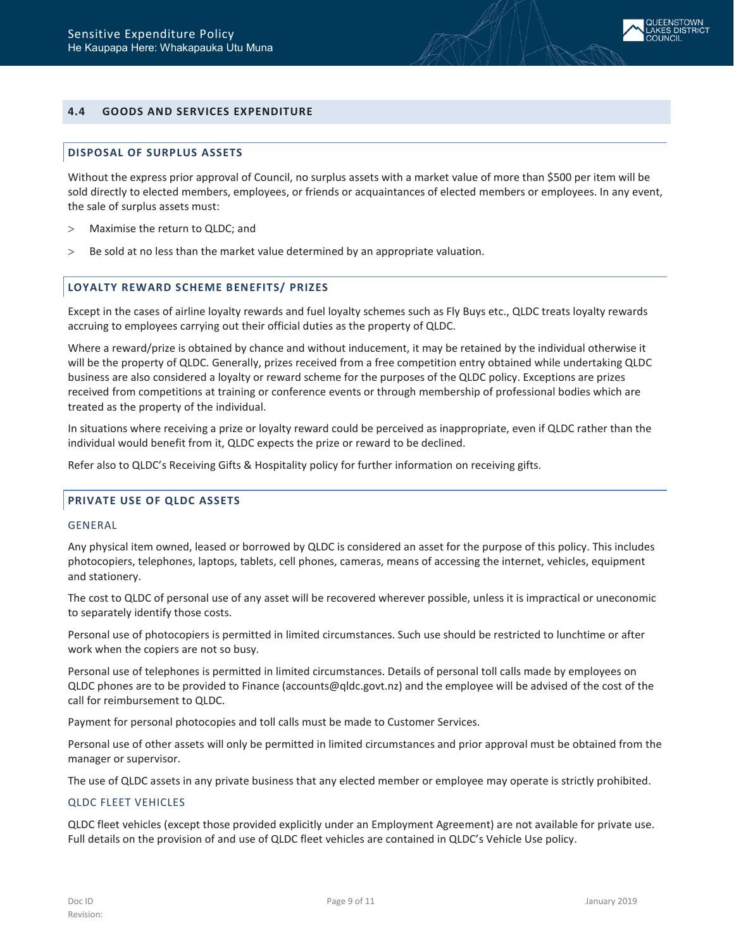

# <span id="page-8-1"></span><span id="page-8-0"></span>**4.4 GOODS AND SERVICES EXPENDITURE**

## **DISPOSAL OF SURPLUS ASSETS**

Without the express prior approval of Council, no surplus assets with a market value of more than \$500 per item will be sold directly to elected members, employees, or friends or acquaintances of elected members or employees. In any event, the sale of surplus assets must:

- > Maximise the return to QLDC; and
- <span id="page-8-2"></span>> Be sold at no less than the market value determined by an appropriate valuation.

#### **LOYALTY REWARD SCHEME BENEFITS/ PRIZES**

Except in the cases of airline loyalty rewards and fuel loyalty schemes such as Fly Buys etc., QLDC treats loyalty rewards accruing to employees carrying out their official duties as the property of QLDC.

Where a reward/prize is obtained by chance and without inducement, it may be retained by the individual otherwise it will be the property of QLDC. Generally, prizes received from a free competition entry obtained while undertaking QLDC business are also considered a loyalty or reward scheme for the purposes of the QLDC policy. Exceptions are prizes received from competitions at training or conference events or through membership of professional bodies which are treated as the property of the individual.

In situations where receiving a prize or loyalty reward could be perceived as inappropriate, even if QLDC rather than the individual would benefit from it, QLDC expects the prize or reward to be declined.

<span id="page-8-3"></span>Refer also to QLDC's Receiving Gifts & Hospitality policy for further information on receiving gifts.

# **PRIVATE USE OF QLDC ASSETS**

#### GENERAL

Any physical item owned, leased or borrowed by QLDC is considered an asset for the purpose of this policy. This includes photocopiers, telephones, laptops, tablets, cell phones, cameras, means of accessing the internet, vehicles, equipment and stationery.

The cost to QLDC of personal use of any asset will be recovered wherever possible, unless it is impractical or uneconomic to separately identify those costs.

Personal use of photocopiers is permitted in limited circumstances. Such use should be restricted to lunchtime or after work when the copiers are not so busy.

Personal use of telephones is permitted in limited circumstances. Details of personal toll calls made by employees on QLDC phones are to be provided to Finance [\(accounts@qldc.govt.nz\)](mailto:accounts@qldc.govt.nz) and the employee will be advised of the cost of the call for reimbursement to QLDC.

Payment for personal photocopies and toll calls must be made to Customer Services.

Personal use of other assets will only be permitted in limited circumstances and prior approval must be obtained from the manager or supervisor.

The use of QLDC assets in any private business that any elected member or employee may operate is strictly prohibited.

#### QLDC FLEET VEHICLES

QLDC fleet vehicles (except those provided explicitly under an Employment Agreement) are not available for private use. Full details on the provision of and use of QLDC fleet vehicles are contained in QLDC's Vehicle Use policy.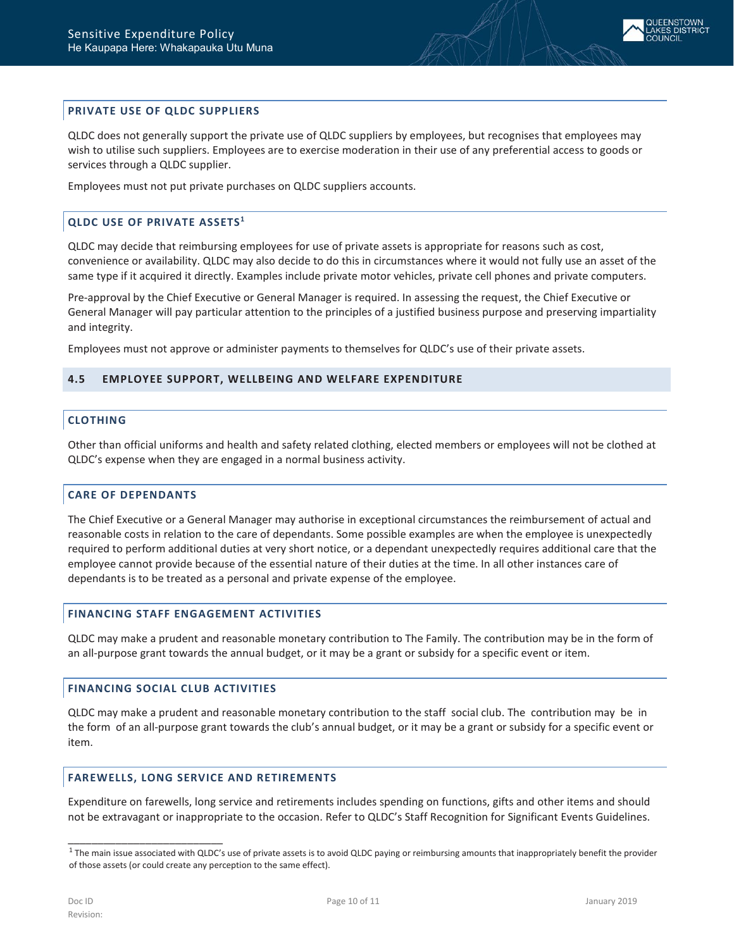

# <span id="page-9-0"></span>**PRIVATE USE OF QLDC SUPPLIERS**

QLDC does not generally support the private use of QLDC suppliers by employees, but recognises that employees may wish to utilise such suppliers. Employees are to exercise moderation in their use of any preferential access to goods or services through a QLDC supplier.

<span id="page-9-1"></span>Employees must not put private purchases on QLDC suppliers accounts.

# **QLDC USE OF PRIVATE ASSETS1**

QLDC may decide that reimbursing employees for use of private assets is appropriate for reasons such as cost, convenience or availability. QLDC may also decide to do this in circumstances where it would not fully use an asset of the same type if it acquired it directly. Examples include private motor vehicles, private cell phones and private computers.

Pre-approval by the Chief Executive or General Manager is required. In assessing the request, the Chief Executive or General Manager will pay particular attention to the principles of a justified business purpose and preserving impartiality and integrity.

<span id="page-9-2"></span>Employees must not approve or administer payments to themselves for QLDC's use of their private assets.

## <span id="page-9-3"></span>**4.5 EMPLOYEE SUPPORT, WELLBEING AND WELFARE EXPENDITURE**

#### **CLOTHING**

Other than official uniforms and health and safety related clothing, elected members or employees will not be clothed at QLDC's expense when they are engaged in a normal business activity.

# <span id="page-9-4"></span>**CARE OF DEPENDANTS**

The Chief Executive or a General Manager may authorise in exceptional circumstances the reimbursement of actual and reasonable costs in relation to the care of dependants. Some possible examples are when the employee is unexpectedly required to perform additional duties at very short notice, or a dependant unexpectedly requires additional care that the employee cannot provide because of the essential nature of their duties at the time. In all other instances care of dependants is to be treated as a personal and private expense of the employee.

## <span id="page-9-5"></span>**FINANCING STAFF ENGAGEMENT ACTIVITIES**

QLDC may make a prudent and reasonable monetary contribution to The Family. The contribution may be in the form of an all-purpose grant towards the annual budget, or it may be a grant or subsidy for a specific event or item.

#### <span id="page-9-6"></span>**FINANCING SOCIAL CLUB ACTIVITIES**

\_\_\_\_\_\_\_\_\_\_\_\_\_\_\_\_\_\_\_\_\_\_\_\_\_\_

QLDC may make a prudent and reasonable monetary contribution to the staff social club. The contribution may be in the form of an all-purpose grant towards the club's annual budget, or it may be a grant or subsidy for a specific event or item.

#### <span id="page-9-7"></span>**FAREWELLS, LONG SERVICE AND RETIREMENTS**

Expenditure on farewells, long service and retirements includes spending on functions, gifts and other items and should not be extravagant or inappropriate to the occasion. Refer to QLDC's [Staff Recognition for](http://intranet/HR/Documents/QLDC%20forms/Staff%20Recognition%20for%20Significant%20Events%20Guideline.pdf) [Significant Events Guidelines.](http://intranet/HR/Documents/QLDC%20forms/Staff%20Recognition%20for%20Significant%20Events%20Guideline.pdf)

 $1$  The main issue associated with QLDC's use of private assets is to avoid QLDC paying or reimbursing amounts that inappropriately benefit the provider of those assets (or could create any perception to the same effect).